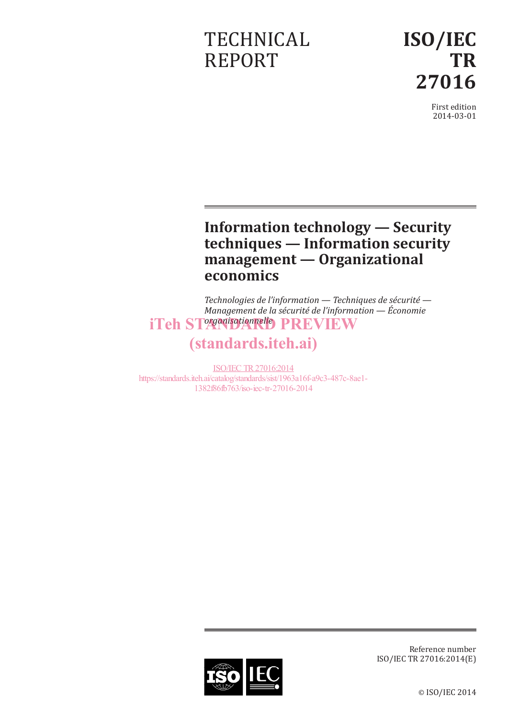# **TECHNICAL** REPORT

**ISO/IEC TR 27016**

> First edition 2014-03-01

# **Information technology — Security techniques — Information security management — Organizational economics**

*Technologies de l'information — Techniques de sécurité — Management de la sécurité de l'information — Économie*  iTeh ST<sup>organisationnelle</sup> PREVIEW

# (standards.iteh.ai)

ISO/IEC TR27016:2014 https://standards.iteh.ai/catalog/standards/sist/1963a16f-a9c3-487c-8ae1- 1382f86fb763/iso-iec-tr-27016-2014



Reference number ISO/IEC TR 27016:2014(E)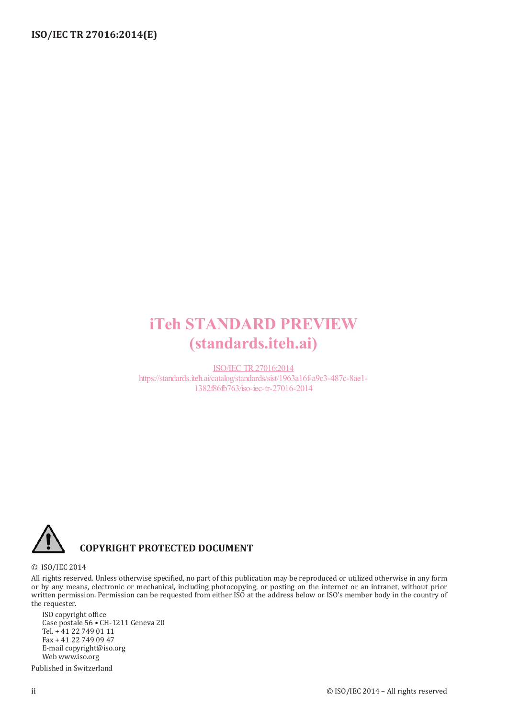# iTeh STANDARD PREVIEW (standards.iteh.ai)

ISO/IEC TR27016:2014 https://standards.iteh.ai/catalog/standards/sist/1963a16f-a9c3-487c-8ae1- 1382f86fb763/iso-iec-tr-27016-2014



#### © ISO/IEC 2014

All rights reserved. Unless otherwise specified, no part of this publication may be reproduced or utilized otherwise in any form or by any means, electronic or mechanical, including photocopying, or posting on the internet or an intranet, without prior written permission. Permission can be requested from either ISO at the address below or ISO's member body in the country of the requester.

ISO copyright office Case postale 56 • CH-1211 Geneva 20 Tel. + 41 22 749 01 11 Fax + 41 22 749 09 47 E-mail copyright@iso.org Web www.iso.org

Published in Switzerland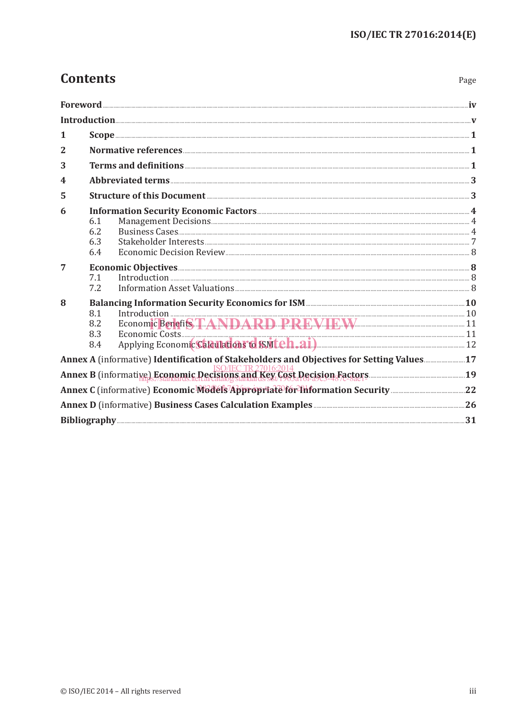Page

# **Contents**

| 1                                                                                                                                                |  |
|--------------------------------------------------------------------------------------------------------------------------------------------------|--|
| $\overline{2}$                                                                                                                                   |  |
| 3                                                                                                                                                |  |
| 4                                                                                                                                                |  |
| Structure of this Document 23<br>5                                                                                                               |  |
| 6<br>6.1<br>6.2<br>6.3<br>6.4                                                                                                                    |  |
| $\overline{7}$<br>7.1<br>7.2                                                                                                                     |  |
| Balancing Information Security Economics for ISM <b>Example 2018</b> 10<br>8<br>8.1<br>Economic Benefits TANDARD PREVIEW 17<br>8.2<br>8.3<br>8.4 |  |
| Annex A (informative) Identification of Stakeholders and Objectives for Setting Values17                                                         |  |
| Annex B (informative) Economic Decisions and Sex (1981 Decision Factors                                                                          |  |
|                                                                                                                                                  |  |
| Annex D (informative) Business Cases Calculation Examples <b>Examples</b> 26                                                                     |  |
|                                                                                                                                                  |  |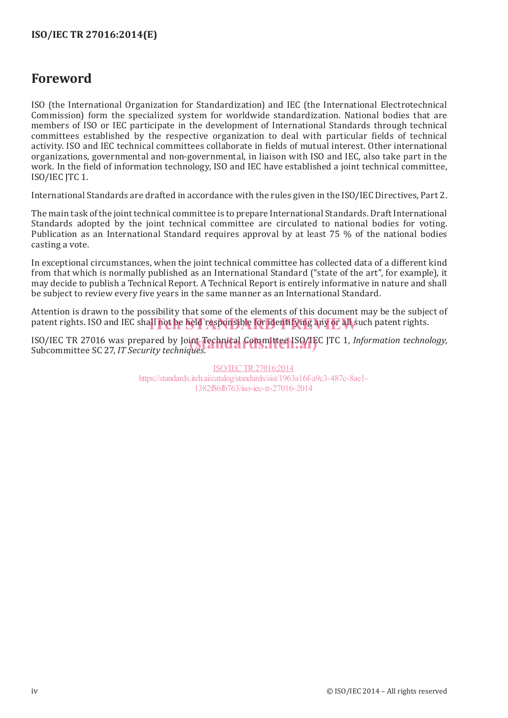## **ISO/IEC TR 27016:2014(E)**

# **Foreword**

ISO (the International Organization for Standardization) and IEC (the International Electrotechnical Commission) form the specialized system for worldwide standardization. National bodies that are members of ISO or IEC participate in the development of International Standards through technical committees established by the respective organization to deal with particular fields of technical activity. ISO and IEC technical committees collaborate in fields of mutual interest. Other international organizations, governmental and non-governmental, in liaison with ISO and IEC, also take part in the work. In the field of information technology, ISO and IEC have established a joint technical committee, ISO/IEC JTC 1.

International Standards are drafted in accordance with the rules given in the ISO/IEC Directives, Part 2.

The main task of the joint technical committee is to prepare International Standards. Draft International Standards adopted by the joint technical committee are circulated to national bodies for voting. Publication as an International Standard requires approval by at least 75 % of the national bodies casting a vote.

In exceptional circumstances, when the joint technical committee has collected data of a different kind from that which is normally published as an International Standard ("state of the art", for example), it may decide to publish a Technical Report. A Technical Report is entirely informative in nature and shall be subject to review every five years in the same manner as an International Standard.

Attention is drawn to the possibility that some of the elements of this document may be the subject of patent rights. ISO and IEC shall not be held responsible for identifying any or all such patent rights.

ISO/IEC TR 27016 was prepared by Joint Technical Committee ISO/IEC JTC 1, *Information technology*, Subcommittee SC 27. IT Security technology. Subcommittee SC 27, *IT Security techniques*.

> ISO/IEC TR27016:2014 https://standards.iteh.ai/catalog/standards/sist/1963a16f-a9c3-487c-8ae1- 1382f86fb763/iso-iec-tr-27016-2014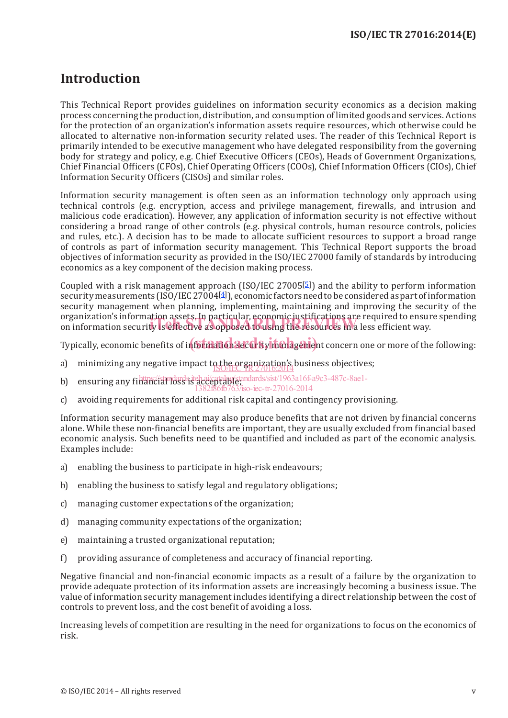# **Introduction**

This Technical Report provides guidelines on information security economics as a decision making process concerning the production, distribution, and consumption of limited goods and services. Actions for the protection of an organization's information assets require resources, which otherwise could be allocated to alternative non-information security related uses. The reader of this Technical Report is primarily intended to be executive management who have delegated responsibility from the governing body for strategy and policy, e.g. Chief Executive Officers (CEOs), Heads of Government Organizations, Chief Financial Officers (CFOs), Chief Operating Officers (COOs), Chief Information Officers (CIOs), Chief Information Security Officers (CISOs) and similar roles.

Information security management is often seen as an information technology only approach using technical controls (e.g. encryption, access and privilege management, firewalls, and intrusion and malicious code eradication). However, any application of information security is not effective without considering a broad range of other controls (e.g. physical controls, human resource controls, policies and rules, etc.). A decision has to be made to allocate sufficient resources to support a broad range of controls as part of information security management. This Technical Report supports the broad objectives of information security as provided in the ISO/IEC 27000 family of standards by introducing economics as a key component of the decision making process.

Coupled with a risk management approach (ISO/IEC 27005 $[5]$ ) and the ability to perform information security measurements (ISO/IEC27004[4]), economic factors need to be considered as part of information security management when planning, implementing, maintaining and improving the security of the organization's information assets. In particular, economic justifications are required to ensure spending organization's information assets, in particular, economic justifications are required to ensui<br>on information security is effective as opposed to using the resources in a less efficient way.

Typically, economic benefits of info**rmation 3ecurity manageme**nt concern one or more of the following:

- a) minimizing any negative impact to the organization's business objectives;
- b) ensuring any financial loss is acceptable in and ard s/sist/1963a16f-a9c3-487c-8ae1-<br>https://standard.in/standards.iteh.ai/catalog/standards/sist/1963a16f-a9c3-487c-8ae1-
- 1382f86fb763/iso-iec-tr-27016-2014
- c) avoiding requirements for additional risk capital and contingency provisioning.

Information security management may also produce benefits that are not driven by financial concerns alone. While these non-financial benefits are important, they are usually excluded from financial based economic analysis. Such benefits need to be quantified and included as part of the economic analysis. Examples include:

- a) enabling the business to participate in high-risk endeavours;
- b) enabling the business to satisfy legal and regulatory obligations;
- c) managing customer expectations of the organization;
- d) managing community expectations of the organization;
- e) maintaining a trusted organizational reputation;
- f) providing assurance of completeness and accuracy of financial reporting.

Negative financial and non-financial economic impacts as a result of a failure by the organization to provide adequate protection of its information assets are increasingly becoming a business issue. The value of information security management includes identifying a direct relationship between the cost of controls to prevent loss, and the cost benefit of avoiding a loss.

Increasing levels of competition are resulting in the need for organizations to focus on the economics of risk.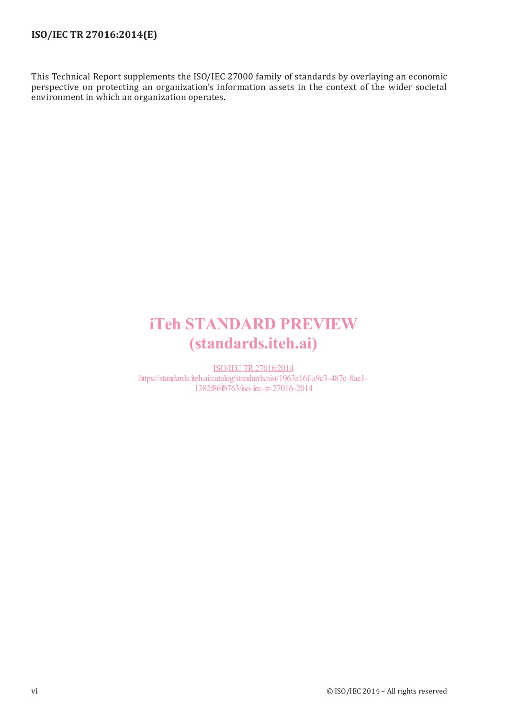## **ISO/IEC TR 27016:2014(E)**

This Technical Report supplements the ISO/IEC 27000 family of standards by overlaying an economic perspective on protecting an organization's information assets in the context of the wider societal environment in which an organization operates.

# iTeh STANDARD PREVIEW (standards.iteh.ai)

ISO/IEC TR27016:2014 https://standards.iteh.ai/catalog/standards/sist/1963a16f-a9c3-487c-8ae1- 1382f86fb763/iso-iec-tr-27016-2014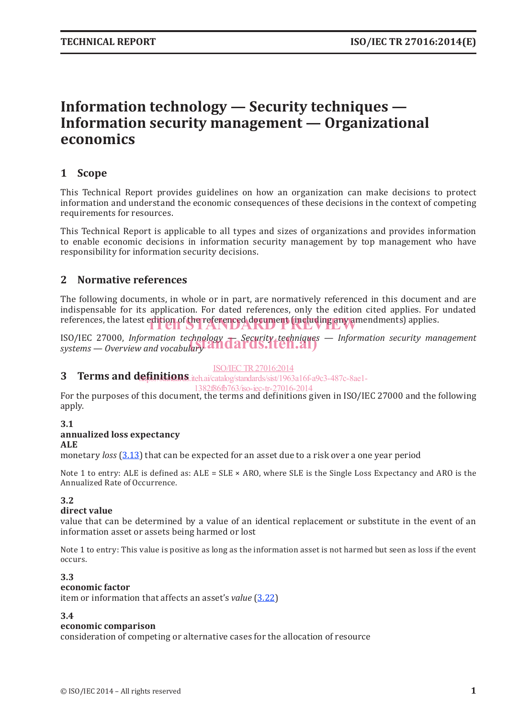# **Information technology — Security techniques — Information security management — Organizational economics**

### **1 Scope**

This Technical Report provides guidelines on how an organization can make decisions to protect information and understand the economic consequences of these decisions in the context of competing requirements for resources.

This Technical Report is applicable to all types and sizes of organizations and provides information to enable economic decisions in information security management by top management who have responsibility for information security decisions.

### **2 Normative references**

The following documents, in whole or in part, are normatively referenced in this document and are indispensable for its application. For dated references, only the edition cited applies. For undated references, the latest edition of the referenced document (including any amendments) applies.

ISO/IEC 27000, *Information technology — Security techniques — Information security management*  ISO/IEC 27000, *Information technology* **— Security techniques**<br>systems — Overview and vocabulary **Andar AS.Iten.ai**)

#### ISO/IEC TR27016:2014

**3** Terms and definitions.iteh.ai/catalog/standards/sist/1963a16f-a9c3-487c-8ae1-

#### 1382f86fb763/iso-iec-tr-27016-2014

For the purposes of this document, the terms and definitions given in ISO/IEC 27000 and the following apply.

#### **3.1 annualized loss expectancy ALE**

monetary *loss* (3.13) that can be expected for an asset due to a risk over a one year period

Note 1 to entry: ALE is defined as:  $ALE = SLE \times ARO$ , where SLE is the Single Loss Expectancy and ARO is the Annualized Rate of Occurrence.

#### **3.2**

#### **direct value**

value that can be determined by a value of an identical replacement or substitute in the event of an information asset or assets being harmed or lost

Note 1 to entry: This value is positive as long as the information asset is not harmed but seen as loss if the event occurs.

#### **3.3**

#### **economic factor**

item or information that affects an asset's *value* (3.22)

#### **3.4**

#### **economic comparison**

consideration of competing or alternative cases for the allocation of resource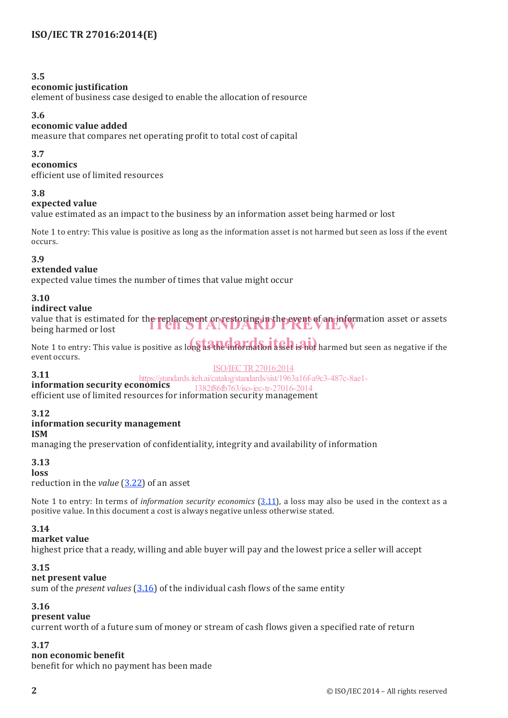#### **3.5**

#### **economic justification**

element of business case desiged to enable the allocation of resource

#### **3.6**

#### **economic value added**

measure that compares net operating profit to total cost of capital

#### **3.7**

**economics**

efficient use of limited resources

#### **3.8**

#### **expected value**

value estimated as an impact to the business by an information asset being harmed or lost

Note 1 to entry: This value is positive as long as the information asset is not harmed but seen as loss if the event occurs.

#### **3.9**

#### **extended value**

expected value times the number of times that value might occur

#### **3.10**

#### **indirect value**

value that is estimated for the replacement or restoring in the event of an information asset or assets being harmed or lost being harmed or lost

Note 1 to entry: This value is positive as long as the information asset is not harmed but seen as negative if the event occurs.

#### ISO/IEC TR27016:2014

**3.11** https://standards.iteh.ai/catalog/standards/sist/1963a16f-a9c3-487c-8ae1-

**information security economics** 1382f86fb763/iso-iec-tr-27016-2014

efficient use of limited resources for information security management

#### **3.12**

#### **information security management**

#### **ISM**

managing the preservation of confidentiality, integrity and availability of information

#### **3.13**

#### **loss**

reduction in the *value* (3.22) of an asset

Note 1 to entry: In terms of *information security economics* (3.11), a loss may also be used in the context as a positive value. In this document a cost is always negative unless otherwise stated.

#### **3.14**

#### **market value**

highest price that a ready, willing and able buyer will pay and the lowest price a seller will accept

#### **3.15**

#### **net present value**

sum of the *present values* (3.16) of the individual cash flows of the same entity

#### **3.16**

#### **present value**

current worth of a future sum of money or stream of cash flows given a specified rate of return

#### **3.17**

#### **non economic benefit**

benefit for which no payment has been made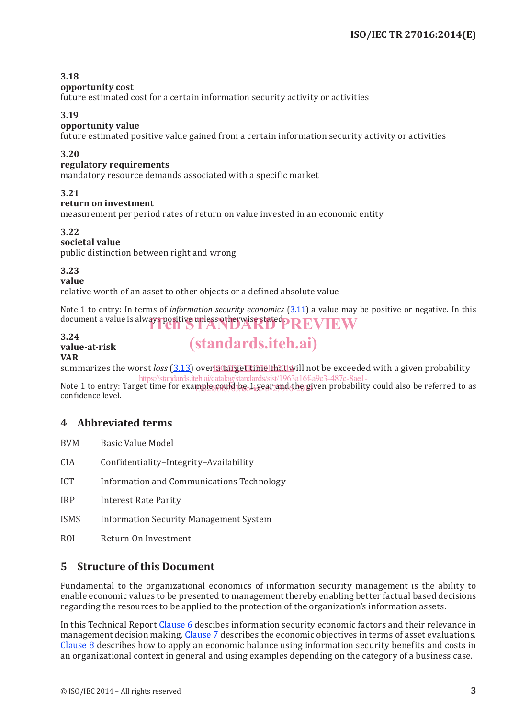#### **3.18**

#### **opportunity cost**

future estimated cost for a certain information security activity or activities

#### **3.19**

#### **opportunity value**

future estimated positive value gained from a certain information security activity or activities

#### **3.20**

#### **regulatory requirements**

mandatory resource demands associated with a specific market

#### **3.21**

#### **return on investment**

measurement per period rates of return on value invested in an economic entity

#### **3.22**

#### **societal value**

public distinction between right and wrong

**3.23**

**value**

relative worth of an asset to other objects or a defined absolute value

Note 1 to entry: In terms of *information security economics* (3.11) a value may be positive or negative. In this document a value is always positive unless otherwise stated. REVIEW

#### **3.24 value-at-risk VAR**

# summarizes the worst *loss* (3.13) over<u>la target time that w</u>ill not be exceeded with a given probability

(standards.iteh.ai)

Note 1 to entry: Target time for example could be 1 year and the given probability could also be referred to as confidence level. https://standards.iteh.ai/catalog/standards/sist/1963a16f-a9c3-487c-8a

## **4 Abbreviated terms**

BVM Basic Value Model

- CIA Confidentiality–Integrity–Availability
- ICT Information and Communications Technology

IRP Interest Rate Parity

- ISMS Information Security Management System
- ROI Return On Investment

### **5 Structure of this Document**

Fundamental to the organizational economics of information security management is the ability to enable economic values to be presented to management thereby enabling better factual based decisions regarding the resources to be applied to the protection of the organization's information assets.

In this Technical Report Clause 6 descibes information security economic factors and their relevance in management decision making. Clause 7 describes the economic objectives in terms of asset evaluations. Clause 8 describes how to apply an economic balance using information security benefits and costs in an organizational context in general and using examples depending on the category of a business case.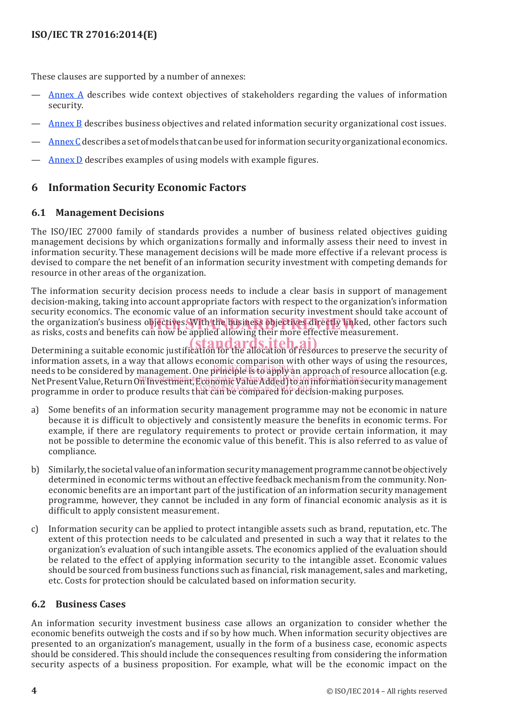These clauses are supported by a number of annexes:

- Annex A describes wide context objectives of stakeholders regarding the values of information security.
- Annex B describes business objectives and related information security organizational cost issues.
- AnnexC describes a set of models that can be used for information security organizational economics.
- Annex D describes examples of using models with example figures.

## **6 Information Security Economic Factors**

### **6.1 Management Decisions**

The ISO/IEC 27000 family of standards provides a number of business related objectives guiding management decisions by which organizations formally and informally assess their need to invest in information security. These management decisions will be made more effective if a relevant process is devised to compare the net benefit of an information security investment with competing demands for resource in other areas of the organization.

The information security decision process needs to include a clear basis in support of management decision-making, taking into account appropriate factors with respect to the organization's information security economics. The economic value of an information security investment should take account of the organization's business objectives. With the business objectives directly linked, other factors such<br>as risks, costs and benefits can now be applied allowing their more effective measurement as risks, costs and benefits can now be applied allowing their more effective measurement.

Determining a suitable economic justification for the allocation of resources to preserve the security of information assets, in a way that allows economic comparison with other ways of using the resources, needs to be considered by management. One principle is to apply an approach of resource allocation (e.g.  $\frac{1}{2}$ net is a constant of by the security of the security of the Added) to an information security management programme in order to produce results that can be compared for decision-making purposes.

- a) Some benefits of an information security management programme may not be economic in nature because it is difficult to objectively and consistently measure the benefits in economic terms. For example, if there are regulatory requirements to protect or provide certain information, it may not be possible to determine the economic value of this benefit. This is also referred to as value of compliance.
- b) Similarly, the societal value of an information security management programme cannot be objectively determined in economic terms without an effective feedback mechanism from the community. Noneconomic benefits are an important part of the justification of an information security management programme, however, they cannot be included in any form of financial economic analysis as it is difficult to apply consistent measurement.
- c) Information security can be applied to protect intangible assets such as brand, reputation, etc. The extent of this protection needs to be calculated and presented in such a way that it relates to the organization's evaluation of such intangible assets. The economics applied of the evaluation should be related to the effect of applying information security to the intangible asset. Economic values should be sourced from business functions such as financial, risk management, sales and marketing, etc. Costs for protection should be calculated based on information security.

### **6.2 Business Cases**

An information security investment business case allows an organization to consider whether the economic benefits outweigh the costs and if so by how much. When information security objectives are presented to an organization's management, usually in the form of a business case, economic aspects should be considered. This should include the consequences resulting from considering the information security aspects of a business proposition. For example, what will be the economic impact on the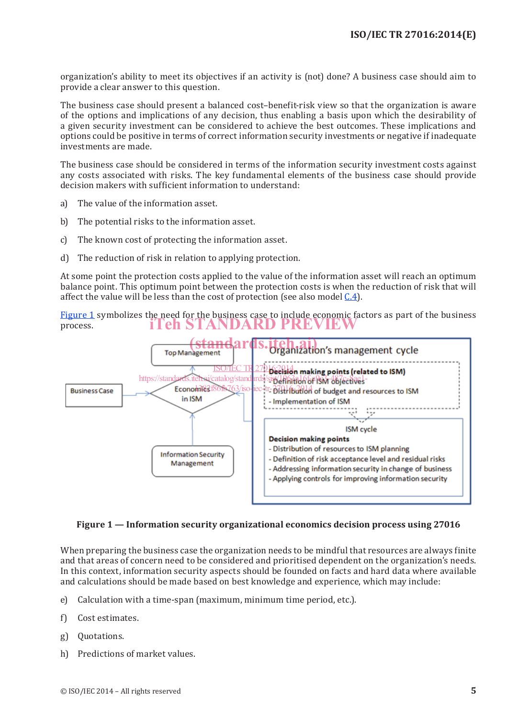organization's ability to meet its objectives if an activity is (not) done? A business case should aim to provide a clear answer to this question.

The business case should present a balanced cost–benefit-risk view so that the organization is aware of the options and implications of any decision, thus enabling a basis upon which the desirability of a given security investment can be considered to achieve the best outcomes. These implications and options could be positive in terms of correct information security investments or negative if inadequate investments are made.

The business case should be considered in terms of the information security investment costs against any costs associated with risks. The key fundamental elements of the business case should provide decision makers with sufficient information to understand:

- a) The value of the information asset.
- b) The potential risks to the information asset.
- c) The known cost of protecting the information asset.
- d) The reduction of risk in relation to applying protection.

At some point the protection costs applied to the value of the information asset will reach an optimum balance point. This optimum point between the protection costs is when the reduction of risk that will affect the value will be less than the cost of protection (see also model C.4).

Figure 1 symbolizes the need for the business case to include economic factors as part of the business process. iTeh STANDARD PREVIEW



#### **Figure 1 — Information security organizational economics decision process using 27016**

When preparing the business case the organization needs to be mindful that resources are always finite and that areas of concern need to be considered and prioritised dependent on the organization's needs. In this context, information security aspects should be founded on facts and hard data where available and calculations should be made based on best knowledge and experience, which may include:

- e) Calculation with a time-span (maximum, minimum time period, etc.).
- f) Cost estimates.
- g) Quotations.
- h) Predictions of market values.